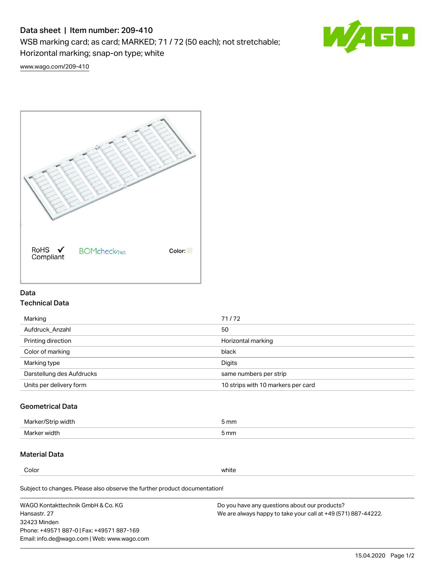# Data sheet | Item number: 209-410

WSB marking card; as card; MARKED; 71 / 72 (50 each); not stretchable;

Horizontal marking; snap-on type; white



[www.wago.com/209-410](http://www.wago.com/209-410)



## Data Technical Data

| Marking                   | 71/72                              |
|---------------------------|------------------------------------|
| Aufdruck Anzahl           | 50                                 |
| Printing direction        | Horizontal marking                 |
| Color of marking          | black                              |
| Marking type              | Digits                             |
| Darstellung des Aufdrucks | same numbers per strip             |
| Units per delivery form   | 10 strips with 10 markers per card |

## Geometrical Data

| <b>Marker</b><br>width | 5 mm |
|------------------------|------|
| Marker width           | 5 mm |

## Material Data

Color white

Subject to changes. Please also observe the further product documentation!

WAGO Kontakttechnik GmbH & Co. KG Hansastr. 27 32423 Minden Phone: +49571 887-0 | Fax: +49571 887-169 Email: info.de@wago.com | Web: www.wago.com Do you have any questions about our products? We are always happy to take your call at +49 (571) 887-44222.